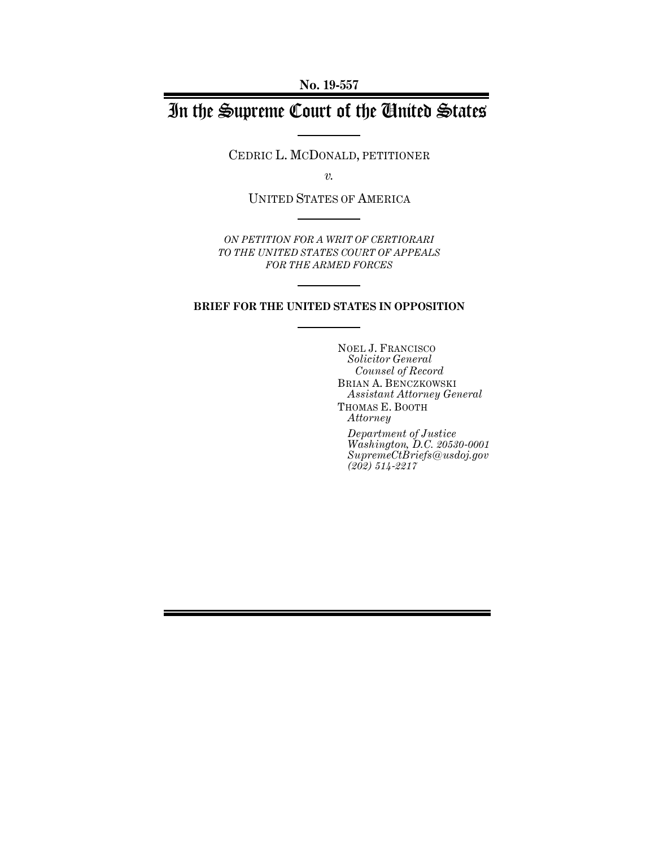**No. 19-557**

# In the Supreme Court of the United States

CEDRIC L. MCDONALD, PETITIONER

*v.*

UNITED STATES OF AMERICA

*ON PETITION FOR A WRIT OF CERTIORARI TO THE UNITED STATES COURT OF APPEALS FOR THE ARMED FORCES*

### **BRIEF FOR THE UNITED STATES IN OPPOSITION**

NOEL J. FRANCISCO *Solicitor General Counsel of Record* BRIAN A. BENCZKOWSKI *Assistant Attorney General* THOMAS E. BOOTH *Attorney*

*Department of Justice Washington, D.C. 20530-0001 SupremeCtBriefs@usdoj.gov (202) 514-2217*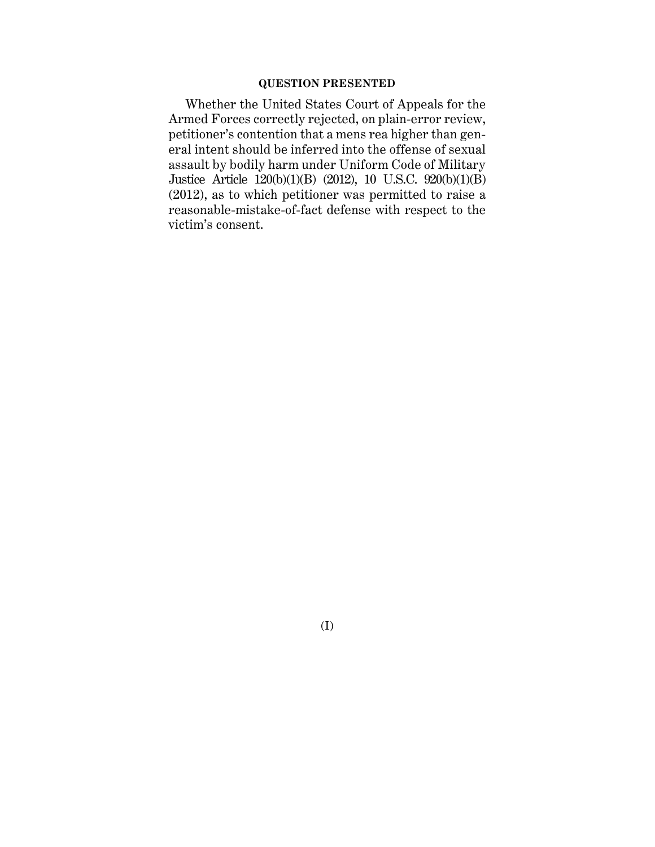### **QUESTION PRESENTED**

Whether the United States Court of Appeals for the Armed Forces correctly rejected, on plain-error review, petitioner's contention that a mens rea higher than general intent should be inferred into the offense of sexual assault by bodily harm under Uniform Code of Military Justice Article 120(b)(1)(B) (2012), 10 U.S.C. 920(b)(1)(B) (2012), as to which petitioner was permitted to raise a reasonable-mistake-of-fact defense with respect to the victim's consent.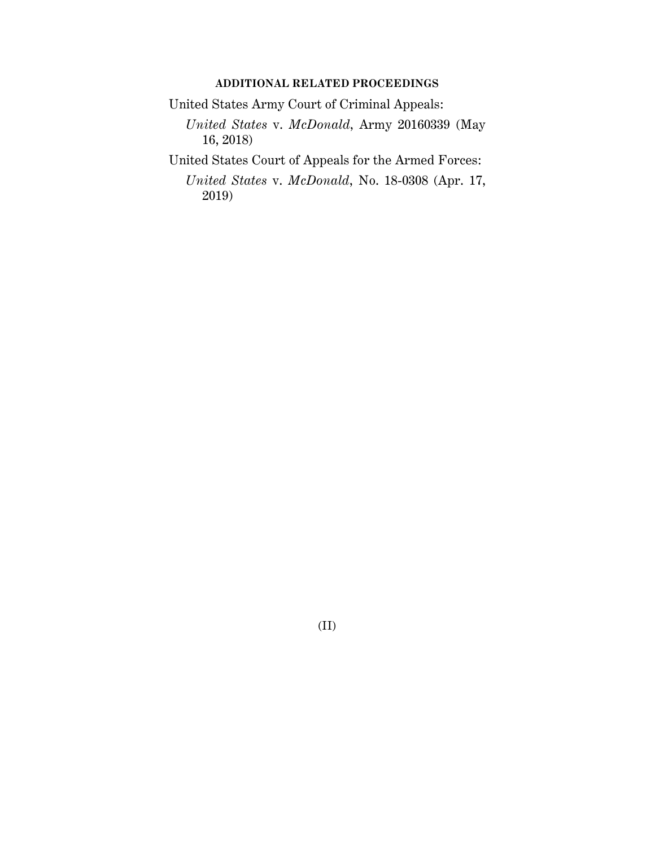### **ADDITIONAL RELATED PROCEEDINGS**

United States Army Court of Criminal Appeals:

*United States* v. *McDonald*, Army 20160339 (May 16, 2018)

United States Court of Appeals for the Armed Forces:

*United States* v. *McDonald*, No. 18-0308 (Apr. 17, 2019)

(II)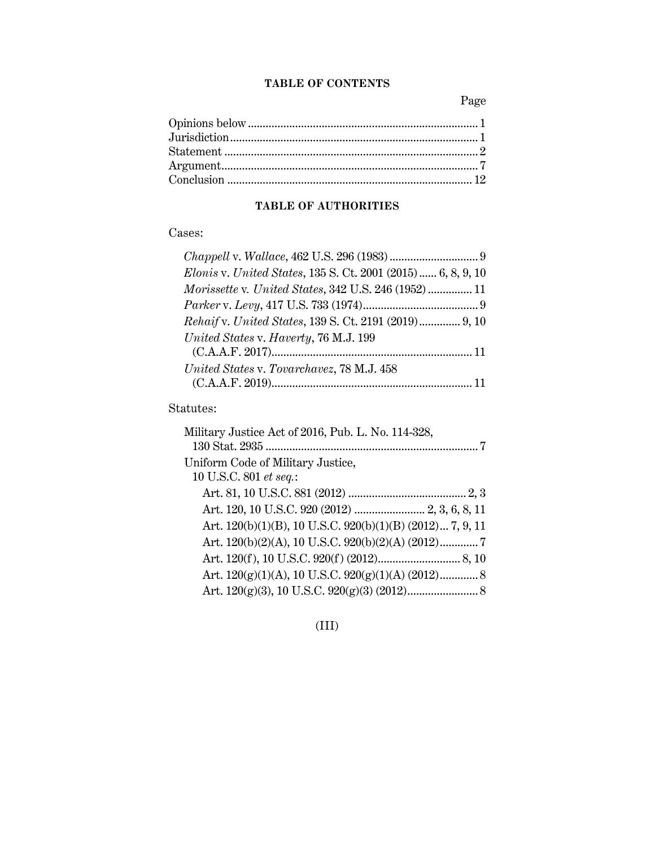### **TABLE OF CONTENTS**

Page

## **TABLE OF AUTHORITIES**

## Cases:

| Elonis v. United States, 135 S. Ct. 2001 (2015)  6, 8, 9, 10 |  |
|--------------------------------------------------------------|--|
|                                                              |  |
|                                                              |  |
| <i>Rehaif v. United States, 139 S. Ct. 2191 (2019)</i> 9, 10 |  |
| United States v. Haverty, 76 M.J. 199                        |  |
|                                                              |  |
| United States v. Tovarchavez, 78 M.J. 458                    |  |
|                                                              |  |

## Statutes:

| Military Justice Act of 2016, Pub. L. No. 114-328,        |
|-----------------------------------------------------------|
|                                                           |
| Uniform Code of Military Justice,                         |
| 10 U.S.C. 801 et seq.:                                    |
|                                                           |
| Art. 120, 10 U.S.C. 920 (2012)  2, 3, 6, 8, 11            |
| Art. 120(b)(1)(B), 10 U.S.C. 920(b)(1)(B) (2012) 7, 9, 11 |
| Art. 120(b)(2)(A), 10 U.S.C. 920(b)(2)(A) (2012)7         |
|                                                           |
|                                                           |
|                                                           |
|                                                           |

(III)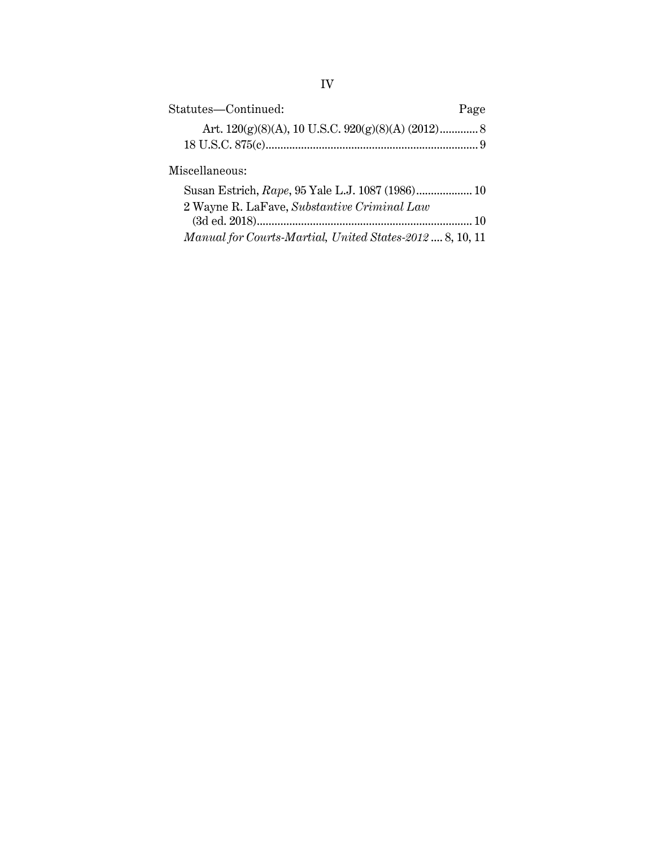| Statutes-Continued:                                      | Page |
|----------------------------------------------------------|------|
|                                                          |      |
|                                                          |      |
| Miscellaneous:                                           |      |
| Susan Estrich, Rape, 95 Yale L.J. 1087 (1986) 10         |      |
| 2 Wayne R. LaFave, Substantive Criminal Law              |      |
|                                                          |      |
| Manual for Courts-Martial, United States-2012  8, 10, 11 |      |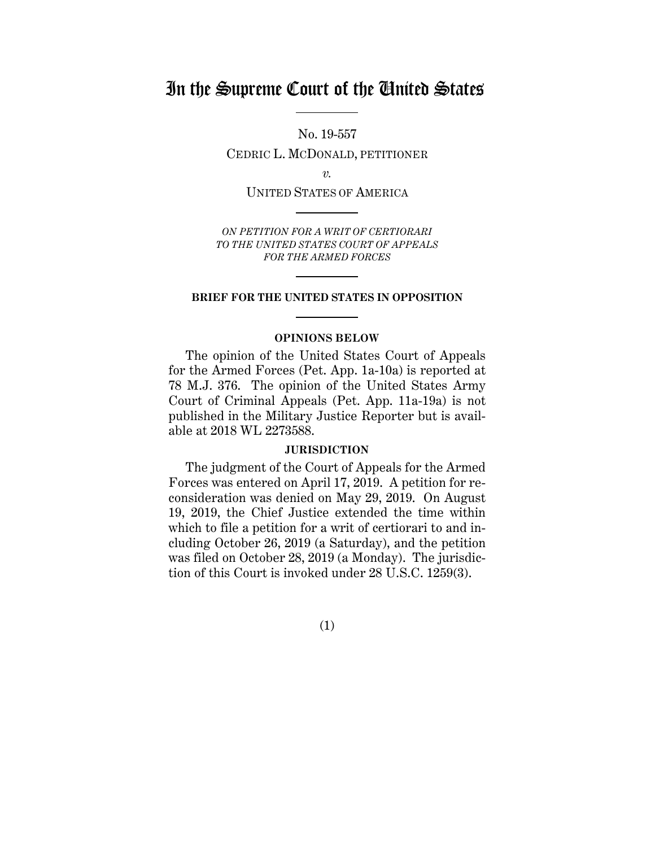## In the Supreme Court of the United States

No. 19-557 CEDRIC L. MCDONALD, PETITIONER

*v.*

UNITED STATES OF AMERICA

*ON PETITION FOR A WRIT OF CERTIORARI TO THE UNITED STATES COURT OF APPEALS FOR THE ARMED FORCES*

### **BRIEF FOR THE UNITED STATES IN OPPOSITION**

### **OPINIONS BELOW**

The opinion of the United States Court of Appeals for the Armed Forces (Pet. App. 1a-10a) is reported at 78 M.J. 376. The opinion of the United States Army Court of Criminal Appeals (Pet. App. 11a-19a) is not published in the Military Justice Reporter but is available at 2018 WL 2273588.

### **JURISDICTION**

The judgment of the Court of Appeals for the Armed Forces was entered on April 17, 2019. A petition for reconsideration was denied on May 29, 2019. On August 19, 2019, the Chief Justice extended the time within which to file a petition for a writ of certiorari to and including October 26, 2019 (a Saturday), and the petition was filed on October 28, 2019 (a Monday). The jurisdiction of this Court is invoked under 28 U.S.C. 1259(3).

(1)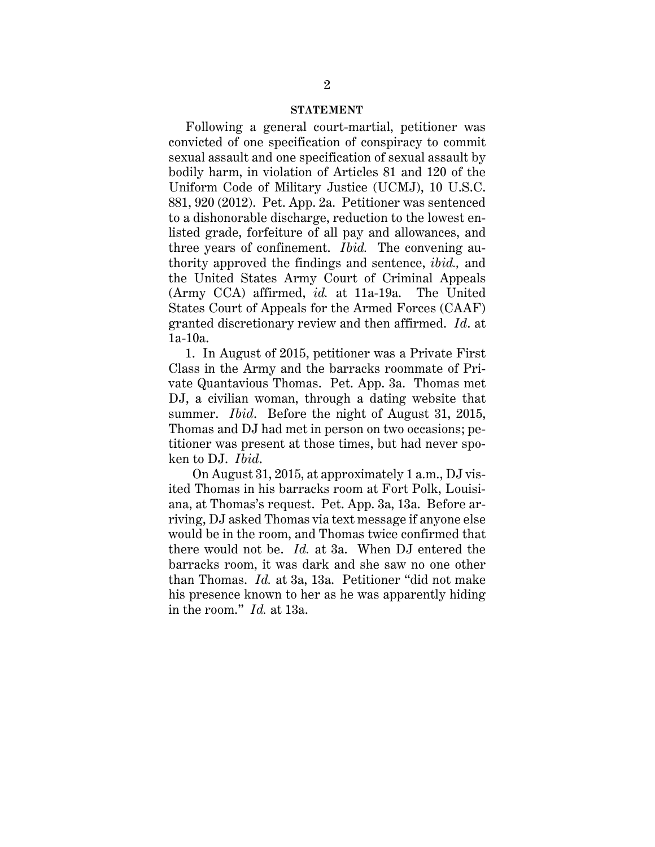#### **STATEMENT**

Following a general court-martial, petitioner was convicted of one specification of conspiracy to commit sexual assault and one specification of sexual assault by bodily harm, in violation of Articles 81 and 120 of the Uniform Code of Military Justice (UCMJ), 10 U.S.C. 881, 920 (2012). Pet. App. 2a. Petitioner was sentenced to a dishonorable discharge, reduction to the lowest enlisted grade, forfeiture of all pay and allowances, and three years of confinement. *Ibid.* The convening authority approved the findings and sentence, *ibid.,* and the United States Army Court of Criminal Appeals (Army CCA) affirmed, *id.* at 11a-19a. The United States Court of Appeals for the Armed Forces (CAAF) granted discretionary review and then affirmed. *Id*. at 1a-10a.

1. In August of 2015, petitioner was a Private First Class in the Army and the barracks roommate of Private Quantavious Thomas. Pet. App. 3a. Thomas met DJ, a civilian woman, through a dating website that summer. *Ibid*. Before the night of August 31, 2015, Thomas and DJ had met in person on two occasions; petitioner was present at those times, but had never spoken to DJ. *Ibid*.

 On August 31, 2015, at approximately 1 a.m., DJ visited Thomas in his barracks room at Fort Polk, Louisiana, at Thomas's request. Pet. App. 3a, 13a. Before arriving, DJ asked Thomas via text message if anyone else would be in the room, and Thomas twice confirmed that there would not be. *Id.* at 3a. When DJ entered the barracks room, it was dark and she saw no one other than Thomas. *Id.* at 3a, 13a. Petitioner "did not make his presence known to her as he was apparently hiding in the room." *Id.* at 13a.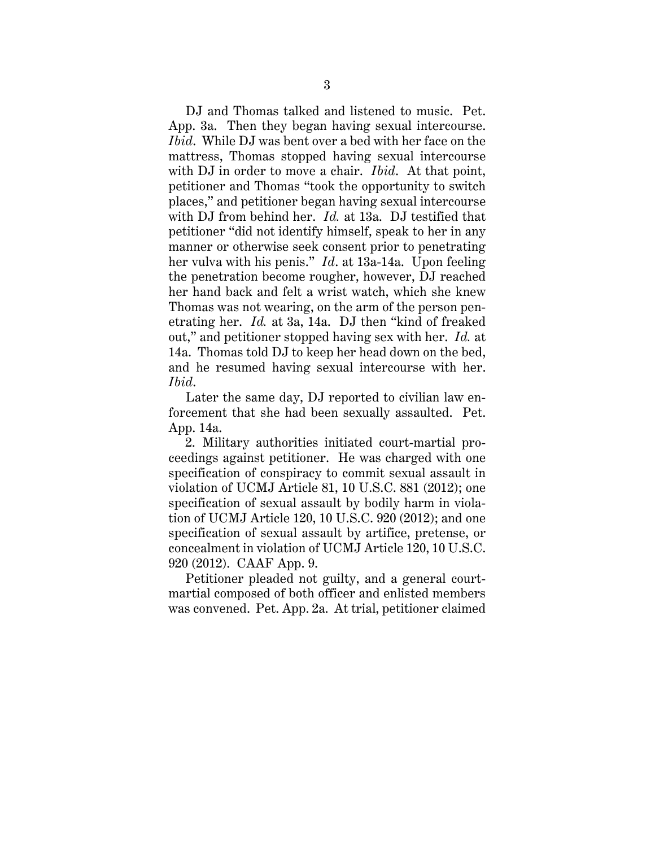DJ and Thomas talked and listened to music. Pet. App. 3a. Then they began having sexual intercourse. *Ibid*. While DJ was bent over a bed with her face on the mattress, Thomas stopped having sexual intercourse with DJ in order to move a chair. *Ibid*. At that point, petitioner and Thomas "took the opportunity to switch places," and petitioner began having sexual intercourse with DJ from behind her. *Id.* at 13a. DJ testified that petitioner "did not identify himself, speak to her in any manner or otherwise seek consent prior to penetrating her vulva with his penis." *Id*. at 13a-14a. Upon feeling the penetration become rougher, however, DJ reached her hand back and felt a wrist watch, which she knew Thomas was not wearing, on the arm of the person penetrating her. *Id.* at 3a, 14a. DJ then "kind of freaked out," and petitioner stopped having sex with her. *Id.* at 14a. Thomas told DJ to keep her head down on the bed, and he resumed having sexual intercourse with her. *Ibid*.

Later the same day, DJ reported to civilian law enforcement that she had been sexually assaulted. Pet. App. 14a.

2. Military authorities initiated court-martial proceedings against petitioner. He was charged with one specification of conspiracy to commit sexual assault in violation of UCMJ Article 81, 10 U.S.C. 881 (2012); one specification of sexual assault by bodily harm in violation of UCMJ Article 120, 10 U.S.C. 920 (2012); and one specification of sexual assault by artifice, pretense, or concealment in violation of UCMJ Article 120, 10 U.S.C. 920 (2012). CAAF App. 9.

Petitioner pleaded not guilty, and a general courtmartial composed of both officer and enlisted members was convened. Pet. App. 2a. At trial, petitioner claimed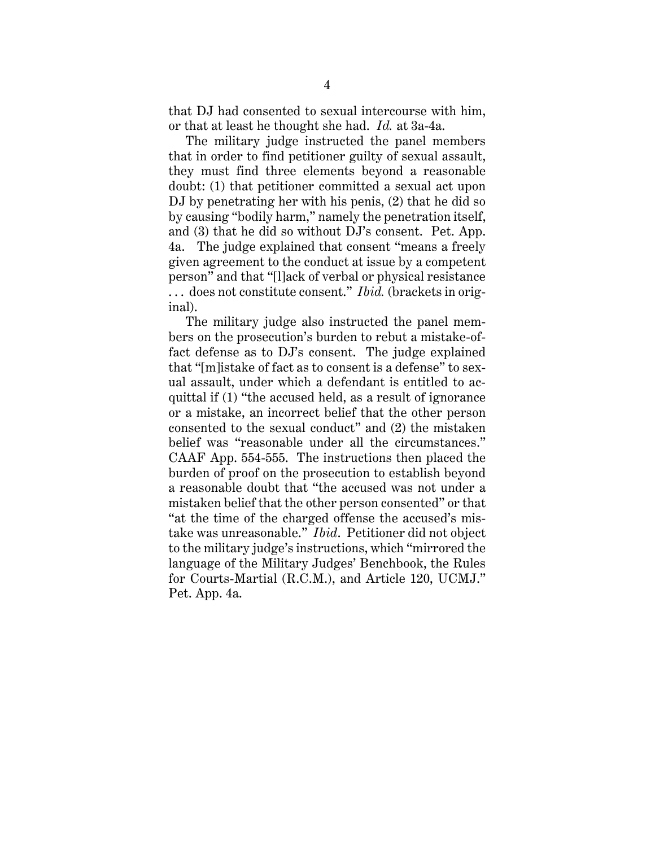that DJ had consented to sexual intercourse with him, or that at least he thought she had. *Id.* at 3a-4a.

The military judge instructed the panel members that in order to find petitioner guilty of sexual assault, they must find three elements beyond a reasonable doubt: (1) that petitioner committed a sexual act upon DJ by penetrating her with his penis, (2) that he did so by causing "bodily harm," namely the penetration itself, and (3) that he did so without DJ's consent. Pet. App. 4a. The judge explained that consent "means a freely given agreement to the conduct at issue by a competent person" and that "[l]ack of verbal or physical resistance . . . does not constitute consent." *Ibid.* (brackets in original).

The military judge also instructed the panel members on the prosecution's burden to rebut a mistake-offact defense as to DJ's consent. The judge explained that "[m]istake of fact as to consent is a defense" to sexual assault, under which a defendant is entitled to acquittal if (1) "the accused held, as a result of ignorance or a mistake, an incorrect belief that the other person consented to the sexual conduct" and (2) the mistaken belief was "reasonable under all the circumstances." CAAF App. 554-555. The instructions then placed the burden of proof on the prosecution to establish beyond a reasonable doubt that "the accused was not under a mistaken belief that the other person consented" or that "at the time of the charged offense the accused's mistake was unreasonable." *Ibid*. Petitioner did not object to the military judge's instructions, which "mirrored the language of the Military Judges' Benchbook, the Rules for Courts-Martial (R.C.M.), and Article 120, UCMJ." Pet. App. 4a.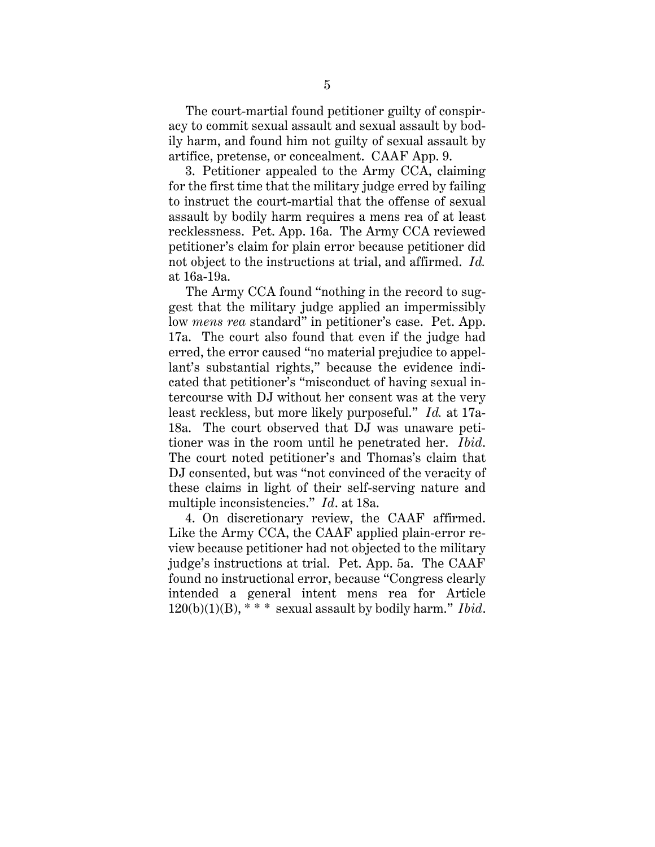The court-martial found petitioner guilty of conspiracy to commit sexual assault and sexual assault by bodily harm, and found him not guilty of sexual assault by artifice, pretense, or concealment. CAAF App. 9.

3. Petitioner appealed to the Army CCA, claiming for the first time that the military judge erred by failing to instruct the court-martial that the offense of sexual assault by bodily harm requires a mens rea of at least recklessness. Pet. App. 16a. The Army CCA reviewed petitioner's claim for plain error because petitioner did not object to the instructions at trial, and affirmed. *Id.*  at 16a-19a.

The Army CCA found "nothing in the record to suggest that the military judge applied an impermissibly low *mens rea* standard" in petitioner's case. Pet. App. 17a. The court also found that even if the judge had erred, the error caused "no material prejudice to appellant's substantial rights," because the evidence indicated that petitioner's "misconduct of having sexual intercourse with DJ without her consent was at the very least reckless, but more likely purposeful." *Id.* at 17a-18a. The court observed that DJ was unaware petitioner was in the room until he penetrated her. *Ibid*. The court noted petitioner's and Thomas's claim that DJ consented, but was "not convinced of the veracity of these claims in light of their self-serving nature and multiple inconsistencies." *Id*. at 18a.

4. On discretionary review, the CAAF affirmed. Like the Army CCA, the CAAF applied plain-error review because petitioner had not objected to the military judge's instructions at trial. Pet. App. 5a. The CAAF found no instructional error, because "Congress clearly intended a general intent mens rea for Article 120(b)(1)(B), \* \* \* sexual assault by bodily harm." *Ibid*.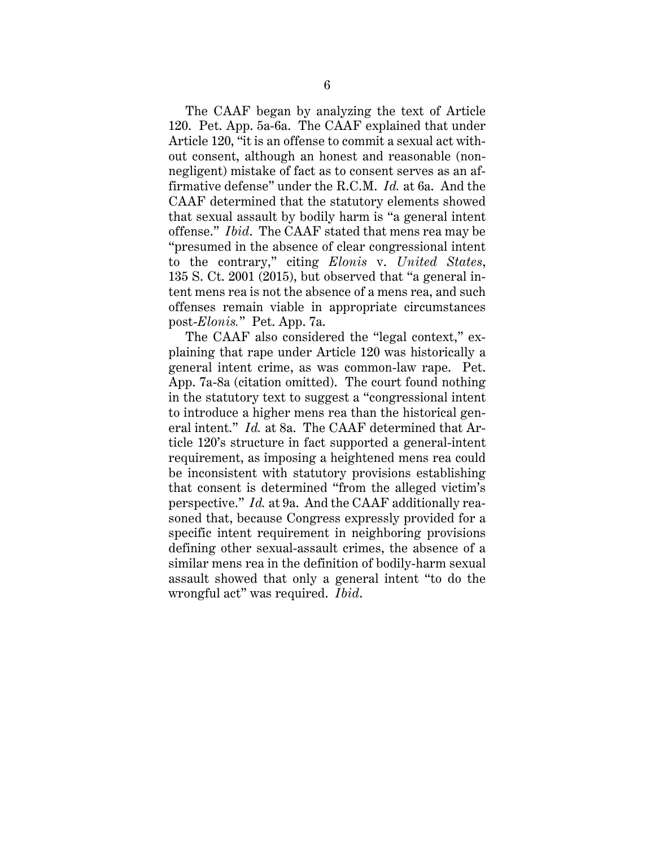The CAAF began by analyzing the text of Article 120. Pet. App. 5a-6a. The CAAF explained that under Article 120, "it is an offense to commit a sexual act without consent, although an honest and reasonable (nonnegligent) mistake of fact as to consent serves as an affirmative defense" under the R.C.M. *Id.* at 6a. And the CAAF determined that the statutory elements showed that sexual assault by bodily harm is "a general intent offense." *Ibid*. The CAAF stated that mens rea may be "presumed in the absence of clear congressional intent to the contrary," citing *Elonis* v. *United States*, 135 S. Ct. 2001 (2015), but observed that "a general intent mens rea is not the absence of a mens rea, and such offenses remain viable in appropriate circumstances post-*Elonis.*" Pet. App. 7a.

The CAAF also considered the "legal context," explaining that rape under Article 120 was historically a general intent crime, as was common-law rape. Pet. App. 7a-8a (citation omitted). The court found nothing in the statutory text to suggest a "congressional intent to introduce a higher mens rea than the historical general intent." *Id.* at 8a. The CAAF determined that Article 120's structure in fact supported a general-intent requirement, as imposing a heightened mens rea could be inconsistent with statutory provisions establishing that consent is determined "from the alleged victim's perspective." *Id.* at 9a. And the CAAF additionally reasoned that, because Congress expressly provided for a specific intent requirement in neighboring provisions defining other sexual-assault crimes, the absence of a similar mens rea in the definition of bodily-harm sexual assault showed that only a general intent "to do the wrongful act" was required. *Ibid*.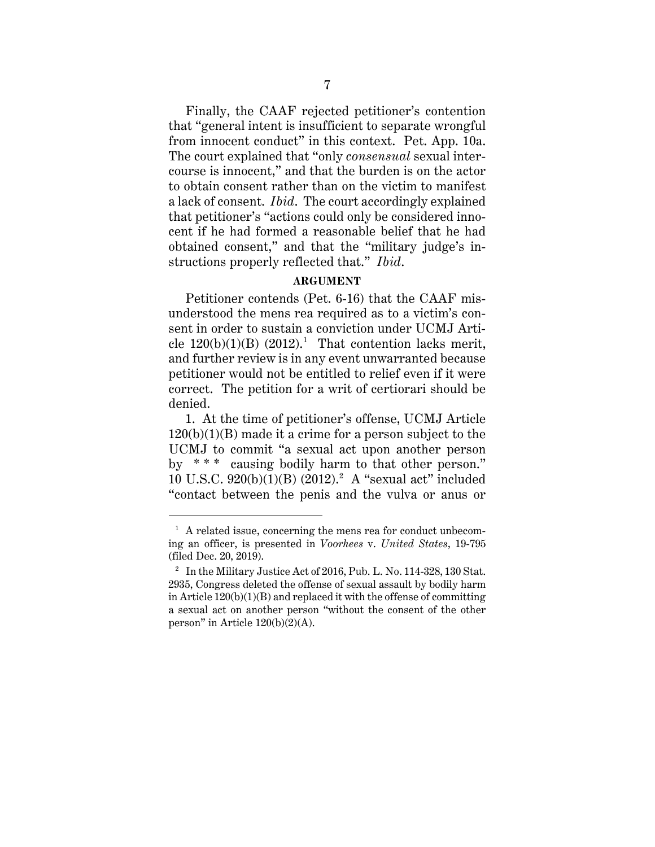Finally, the CAAF rejected petitioner's contention that "general intent is insufficient to separate wrongful from innocent conduct" in this context. Pet. App. 10a. The court explained that "only *consensual* sexual intercourse is innocent," and that the burden is on the actor to obtain consent rather than on the victim to manifest a lack of consent. *Ibid*. The court accordingly explained that petitioner's "actions could only be considered innocent if he had formed a reasonable belief that he had obtained consent," and that the "military judge's instructions properly reflected that." *Ibid*.

### **ARGUMENT**

Petitioner contends (Pet. 6-16) that the CAAF misunderstood the mens rea required as to a victim's consent in order to sustain a conviction under UCMJ Article  $120(b)(1)(B)$   $(2012).<sup>1</sup>$  That contention lacks merit, and further review is in any event unwarranted because petitioner would not be entitled to relief even if it were correct. The petition for a writ of certiorari should be denied.

1. At the time of petitioner's offense, UCMJ Article  $120(b)(1)(B)$  made it a crime for a person subject to the UCMJ to commit "a sexual act upon another person by \* \* \* causing bodily harm to that other person." 10 U.S.C. 920(b)(1)(B) (2012).2 A "sexual act" included "contact between the penis and the vulva or anus or

 $\overline{a}$ 

 $<sup>1</sup>$  A related issue, concerning the mens rea for conduct unbecom-</sup> ing an officer, is presented in *Voorhees* v. *United States*, 19-795 (filed Dec. 20, 2019).

<sup>&</sup>lt;sup>2</sup> In the Military Justice Act of 2016, Pub. L. No. 114-328, 130 Stat. 2935, Congress deleted the offense of sexual assault by bodily harm in Article  $120(b)(1)(B)$  and replaced it with the offense of committing a sexual act on another person "without the consent of the other person" in Article 120(b)(2)(A).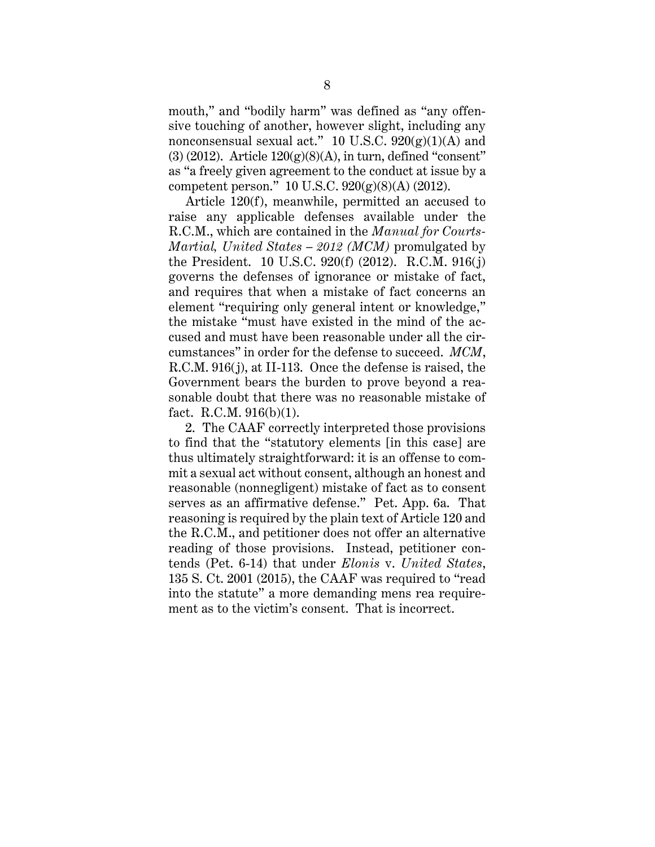mouth," and "bodily harm" was defined as "any offensive touching of another, however slight, including any nonconsensual sexual act." 10 U.S.C.  $920(g)(1)(A)$  and  $(3)$  (2012). Article  $120(g)(8)(A)$ , in turn, defined "consent" as "a freely given agreement to the conduct at issue by a competent person." 10 U.S.C. 920(g)(8)(A) (2012).

Article 120(f), meanwhile, permitted an accused to raise any applicable defenses available under the R.C.M., which are contained in the *Manual for Courts-Martial, United States – 2012 (MCM)* promulgated by the President. 10 U.S.C. 920(f) (2012). R.C.M. 916(j) governs the defenses of ignorance or mistake of fact, and requires that when a mistake of fact concerns an element "requiring only general intent or knowledge," the mistake "must have existed in the mind of the accused and must have been reasonable under all the circumstances" in order for the defense to succeed. *MCM*, R.C.M. 916(j), at II-113. Once the defense is raised, the Government bears the burden to prove beyond a reasonable doubt that there was no reasonable mistake of fact. R.C.M. 916(b)(1).

2. The CAAF correctly interpreted those provisions to find that the "statutory elements [in this case] are thus ultimately straightforward: it is an offense to commit a sexual act without consent, although an honest and reasonable (nonnegligent) mistake of fact as to consent serves as an affirmative defense." Pet. App. 6a. That reasoning is required by the plain text of Article 120 and the R.C.M., and petitioner does not offer an alternative reading of those provisions. Instead, petitioner contends (Pet. 6-14) that under *Elonis* v. *United States*, 135 S. Ct. 2001 (2015), the CAAF was required to "read into the statute" a more demanding mens rea requirement as to the victim's consent. That is incorrect.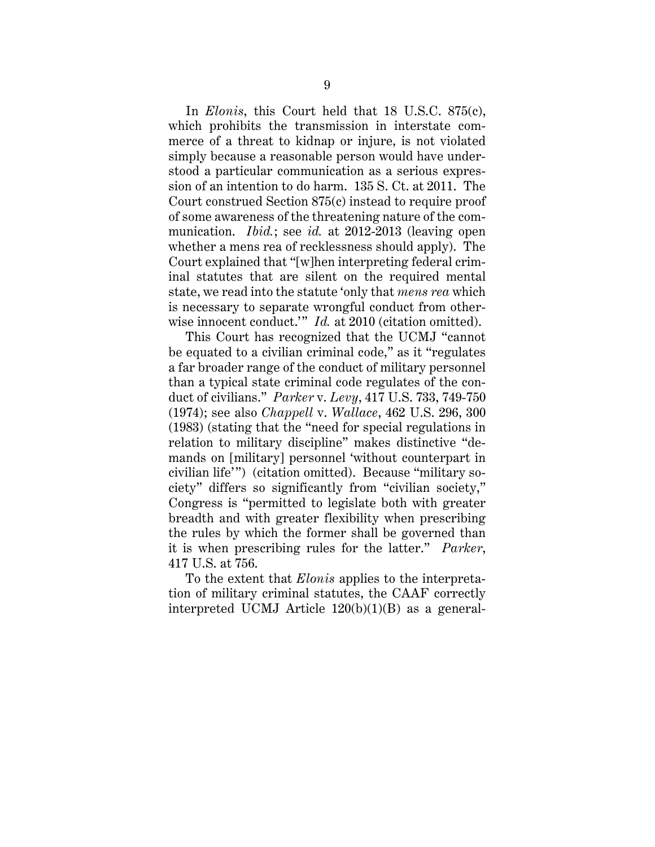In *Elonis*, this Court held that 18 U.S.C. 875(c), which prohibits the transmission in interstate commerce of a threat to kidnap or injure, is not violated simply because a reasonable person would have understood a particular communication as a serious expression of an intention to do harm. 135 S. Ct. at 2011. The Court construed Section 875(c) instead to require proof of some awareness of the threatening nature of the communication. *Ibid.*; see *id.* at 2012-2013 (leaving open whether a mens rea of recklessness should apply). The Court explained that "[w]hen interpreting federal criminal statutes that are silent on the required mental state, we read into the statute 'only that *mens rea* which is necessary to separate wrongful conduct from otherwise innocent conduct." *Id.* at 2010 (citation omitted).

This Court has recognized that the UCMJ "cannot be equated to a civilian criminal code," as it "regulates a far broader range of the conduct of military personnel than a typical state criminal code regulates of the conduct of civilians." *Parker* v. *Levy*, 417 U.S. 733, 749-750 (1974); see also *Chappell* v. *Wallace*, 462 U.S. 296, 300 (1983) (stating that the "need for special regulations in relation to military discipline" makes distinctive "demands on [military] personnel 'without counterpart in civilian life'") (citation omitted). Because "military society" differs so significantly from "civilian society," Congress is "permitted to legislate both with greater breadth and with greater flexibility when prescribing the rules by which the former shall be governed than it is when prescribing rules for the latter." *Parker*, 417 U.S. at 756.

To the extent that *Elonis* applies to the interpretation of military criminal statutes, the CAAF correctly interpreted UCMJ Article 120(b)(1)(B) as a general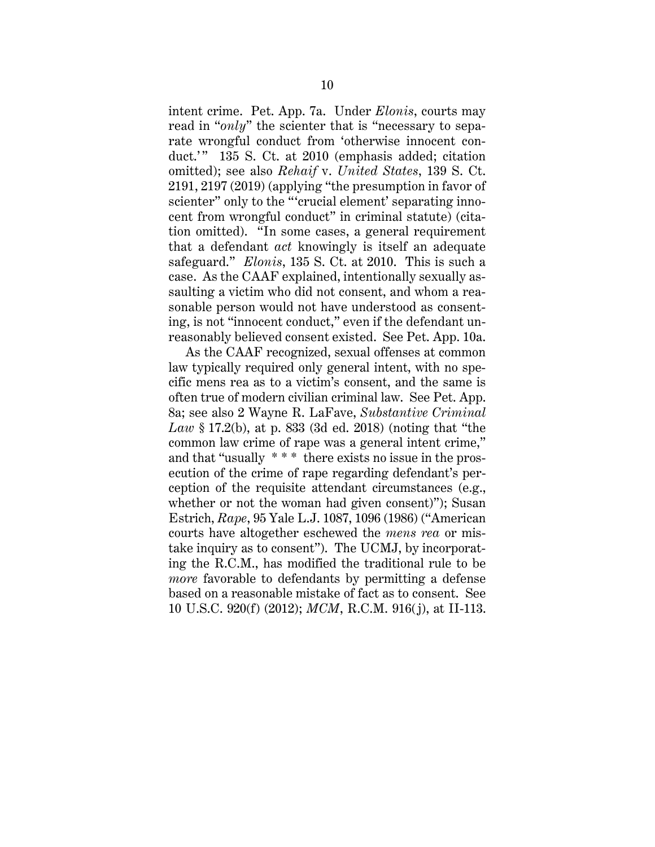intent crime. Pet. App. 7a. Under *Elonis*, courts may read in "*only*" the scienter that is "necessary to separate wrongful conduct from 'otherwise innocent conduct.'" 135 S. Ct. at 2010 (emphasis added; citation omitted); see also *Rehaif* v. *United States*, 139 S. Ct. 2191, 2197 (2019) (applying "the presumption in favor of scienter" only to the "'crucial element' separating innocent from wrongful conduct" in criminal statute) (citation omitted). "In some cases, a general requirement that a defendant *act* knowingly is itself an adequate safeguard." *Elonis*, 135 S. Ct. at 2010. This is such a case. As the CAAF explained, intentionally sexually assaulting a victim who did not consent, and whom a reasonable person would not have understood as consenting, is not "innocent conduct," even if the defendant unreasonably believed consent existed. See Pet. App. 10a.

As the CAAF recognized, sexual offenses at common law typically required only general intent, with no specific mens rea as to a victim's consent, and the same is often true of modern civilian criminal law. See Pet. App. 8a; see also 2 Wayne R. LaFave, *Substantive Criminal Law* § 17.2(b), at p. 833 (3d ed. 2018) (noting that "the common law crime of rape was a general intent crime," and that "usually \* \* \* there exists no issue in the prosecution of the crime of rape regarding defendant's perception of the requisite attendant circumstances (e.g., whether or not the woman had given consent)"); Susan Estrich, *Rape*, 95 Yale L.J. 1087, 1096 (1986) ("American courts have altogether eschewed the *mens rea* or mistake inquiry as to consent"). The UCMJ, by incorporating the R.C.M., has modified the traditional rule to be *more* favorable to defendants by permitting a defense based on a reasonable mistake of fact as to consent. See 10 U.S.C. 920(f) (2012); *MCM*, R.C.M. 916(j), at II-113.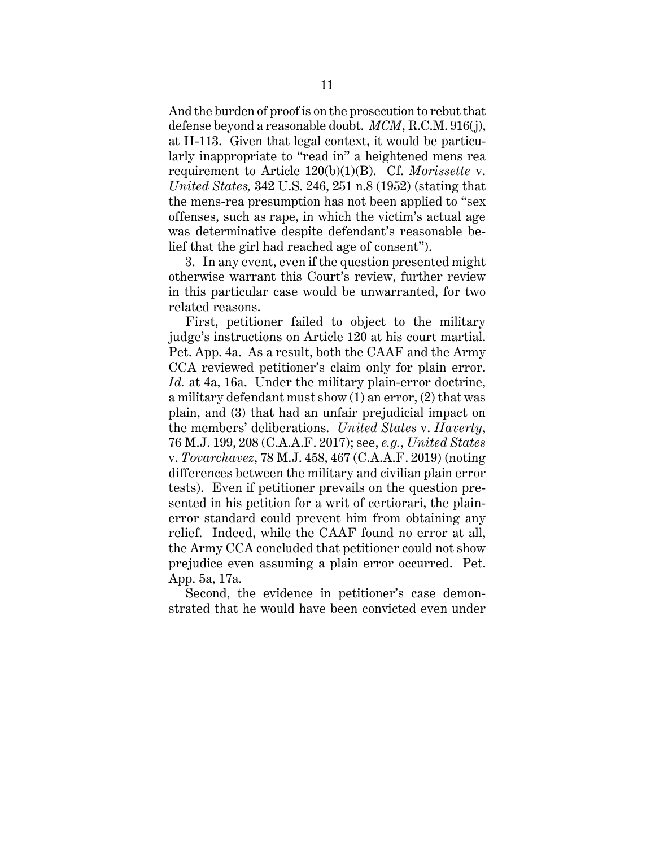And the burden of proof is on the prosecution to rebut that defense beyond a reasonable doubt. *MCM*, R.C.M. 916(j), at II-113. Given that legal context, it would be particularly inappropriate to "read in" a heightened mens rea requirement to Article 120(b)(1)(B). Cf. *Morissette* v. *United States,* 342 U.S. 246, 251 n.8 (1952) (stating that the mens-rea presumption has not been applied to "sex offenses, such as rape, in which the victim's actual age was determinative despite defendant's reasonable belief that the girl had reached age of consent").

3. In any event, even if the question presented might otherwise warrant this Court's review, further review in this particular case would be unwarranted, for two related reasons.

First, petitioner failed to object to the military judge's instructions on Article 120 at his court martial. Pet. App. 4a. As a result, both the CAAF and the Army CCA reviewed petitioner's claim only for plain error. *Id.* at 4a, 16a. Under the military plain-error doctrine, a military defendant must show (1) an error, (2) that was plain, and (3) that had an unfair prejudicial impact on the members' deliberations. *United States* v. *Haverty*, 76 M.J. 199, 208 (C.A.A.F. 2017); see, *e.g.*, *United States* v. *Tovarchavez*, 78 M.J. 458, 467 (C.A.A.F. 2019) (noting differences between the military and civilian plain error tests). Even if petitioner prevails on the question presented in his petition for a writ of certiorari, the plainerror standard could prevent him from obtaining any relief. Indeed, while the CAAF found no error at all, the Army CCA concluded that petitioner could not show prejudice even assuming a plain error occurred. Pet. App. 5a, 17a.

Second, the evidence in petitioner's case demonstrated that he would have been convicted even under